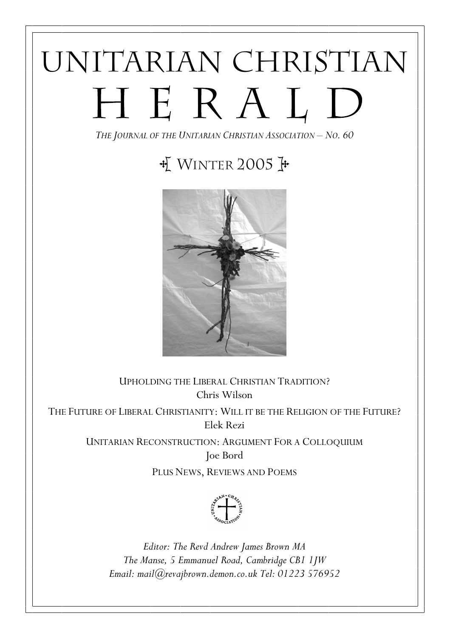# UNITARIAN CHRISTIAN HERALD

THE JOURNAL OF THE UNITARIAN CHRISTIAN ASSOCIATION – NO. 60

# $\frac{1}{N}$  WINTER 2005



UPHOLDING THE LIBERAL CHRISTIAN TRADITION? Chris Wilson THE FUTURE OF LIBERAL CHRISTIANITY: WILL IT BE THE RELIGION OF THE FUTURE? Elek Rezi

> UNITARIAN RECONSTRUCTION: ARGUMENT FOR A COLLOQUIUM Joe Bord

> > PLUS NEWS, REVIEWS AND POEMS



Editor: The Revd Andrew James Brown MA The Manse, 5 Emmanuel Road, Cambridge CB1 1JW Email: mail@revajbrown.demon.co.uk Tel: 01223 576952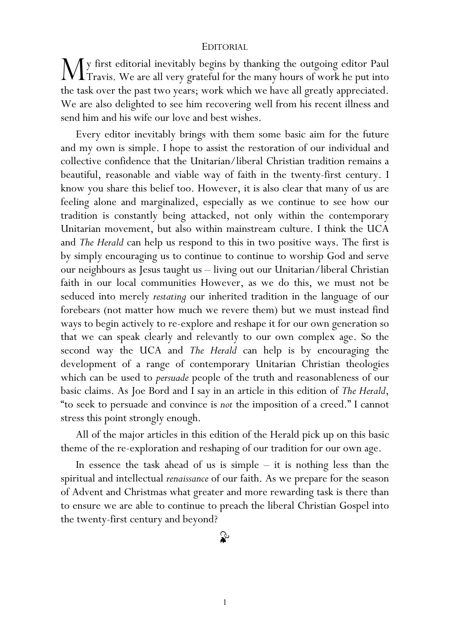#### EDITORIAL

y first editorial inevitably begins by thanking the outgoing editor Paul  $\mathbf{M}$ y first editorial inevitably begins by thanking the outgoing editor Paul Travis. We are all very grateful for the many hours of work he put into the task over the past two years; work which we have all greatly appreciated. We are also delighted to see him recovering well from his recent illness and send him and his wife our love and best wishes.

Every editor inevitably brings with them some basic aim for the future and my own is simple. I hope to assist the restoration of our individual and collective confidence that the Unitarian/liberal Christian tradition remains a beautiful, reasonable and viable way of faith in the twenty-first century. I know you share this belief too. However, it is also clear that many of us are feeling alone and marginalized, especially as we continue to see how our tradition is constantly being attacked, not only within the contemporary Unitarian movement, but also within mainstream culture. I think the UCA and The Herald can help us respond to this in two positive ways. The first is by simply encouraging us to continue to continue to worship God and serve our neighbours as Jesus taught us – living out our Unitarian/liberal Christian faith in our local communities However, as we do this, we must not be seduced into merely restating our inherited tradition in the language of our forebears (not matter how much we revere them) but we must instead find ways to begin actively to re-explore and reshape it for our own generation so that we can speak clearly and relevantly to our own complex age. So the second way the UCA and The Herald can help is by encouraging the development of a range of contemporary Unitarian Christian theologies which can be used to persuade people of the truth and reasonableness of our basic claims. As Joe Bord and I say in an article in this edition of The Herald, "to seek to persuade and convince is not the imposition of a creed." I cannot stress this point strongly enough.

All of the major articles in this edition of the Herald pick up on this basic theme of the re-exploration and reshaping of our tradition for our own age.

In essence the task ahead of us is simple  $-$  it is nothing less than the spiritual and intellectual renaissance of our faith. As we prepare for the season of Advent and Christmas what greater and more rewarding task is there than to ensure we are able to continue to preach the liberal Christian Gospel into the twenty-first century and beyond?

# $\mathbf{r}$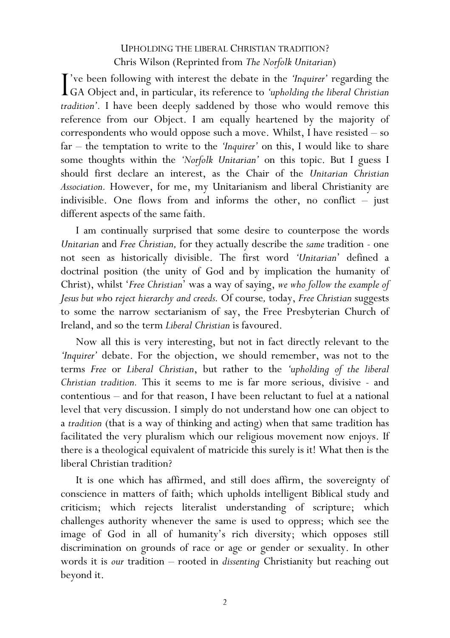# UPHOLDING THE LIBERAL CHRISTIAN TRADITION? Chris Wilson (Reprinted from The Norfolk Unitarian)

've been following with interest the debate in the 'Inquirer' regarding the The vector following with interest the debate in the 'Inquirer' regarding the GA Object and, in particular, its reference to 'upholding the liberal Christian tradition'. I have been deeply saddened by those who would remove this reference from our Object. I am equally heartened by the majority of correspondents who would oppose such a move. Whilst, I have resisted – so far – the temptation to write to the 'Inquirer' on this, I would like to share some thoughts within the 'Norfolk Unitarian' on this topic. But I guess I should first declare an interest, as the Chair of the Unitarian Christian Association. However, for me, my Unitarianism and liberal Christianity are indivisible. One flows from and informs the other, no conflict – just different aspects of the same faith.

I am continually surprised that some desire to counterpose the words Unitarian and Free Christian, for they actually describe the same tradition - one not seen as historically divisible. The first word 'Unitarian' defined a doctrinal position (the unity of God and by implication the humanity of Christ), whilst 'Free Christian' was a way of saying, we who follow the example of Jesus but who reject hierarchy and creeds. Of course, today, Free Christian suggests to some the narrow sectarianism of say, the Free Presbyterian Church of Ireland, and so the term Liberal Christian is favoured.

Now all this is very interesting, but not in fact directly relevant to the 'Inquirer' debate. For the objection, we should remember, was not to the terms Free or Liberal Christian, but rather to the 'upholding of the liberal Christian tradition. This it seems to me is far more serious, divisive - and contentious – and for that reason, I have been reluctant to fuel at a national level that very discussion. I simply do not understand how one can object to a tradition (that is a way of thinking and acting) when that same tradition has facilitated the very pluralism which our religious movement now enjoys. If there is a theological equivalent of matricide this surely is it! What then is the liberal Christian tradition?

It is one which has affirmed, and still does affirm, the sovereignty of conscience in matters of faith; which upholds intelligent Biblical study and criticism; which rejects literalist understanding of scripture; which challenges authority whenever the same is used to oppress; which see the image of God in all of humanity's rich diversity; which opposes still discrimination on grounds of race or age or gender or sexuality. In other words it is our tradition – rooted in dissenting Christianity but reaching out beyond it.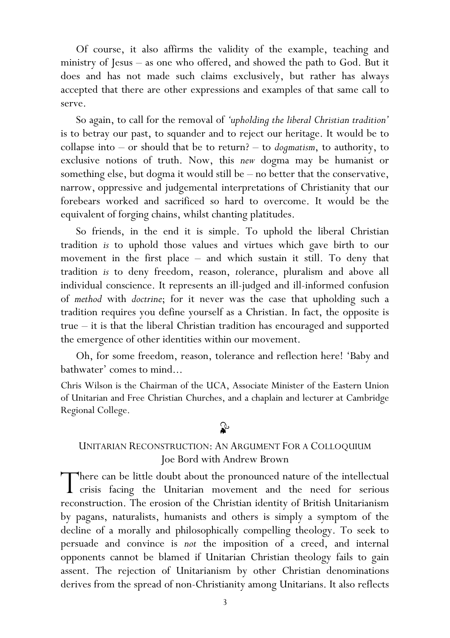Of course, it also affirms the validity of the example, teaching and ministry of Jesus – as one who offered, and showed the path to God. But it does and has not made such claims exclusively, but rather has always accepted that there are other expressions and examples of that same call to serve.

So again, to call for the removal of 'upholding the liberal Christian tradition' is to betray our past, to squander and to reject our heritage. It would be to collapse into  $-$  or should that be to return?  $-$  to *dogmatism*, to authority, to exclusive notions of truth. Now, this new dogma may be humanist or something else, but dogma it would still be – no better that the conservative, narrow, oppressive and judgemental interpretations of Christianity that our forebears worked and sacrificed so hard to overcome. It would be the equivalent of forging chains, whilst chanting platitudes.

So friends, in the end it is simple. To uphold the liberal Christian tradition is to uphold those values and virtues which gave birth to our movement in the first place – and which sustain it still. To deny that tradition is to deny freedom, reason, tolerance, pluralism and above all individual conscience. It represents an ill-judged and ill-informed confusion of method with doctrine; for it never was the case that upholding such a tradition requires you define yourself as a Christian. In fact, the opposite is true – it is that the liberal Christian tradition has encouraged and supported the emergence of other identities within our movement.

Oh, for some freedom, reason, tolerance and reflection here! 'Baby and bathwater' comes to mind...

Chris Wilson is the Chairman of the UCA, Associate Minister of the Eastern Union of Unitarian and Free Christian Churches, and a chaplain and lecturer at Cambridge Regional College.

# $\mathbf{r}$

# UNITARIAN RECONSTRUCTION: AN ARGUMENT FOR A COLLOQUIUM Joe Bord with Andrew Brown

There can be little doubt about the pronounced nature of the intellectual There can be little doubt about the pronounced nature of the intellectual crisis facing the Unitarian movement and the need for serious reconstruction. The erosion of the Christian identity of British Unitarianism by pagans, naturalists, humanists and others is simply a symptom of the decline of a morally and philosophically compelling theology. To seek to persuade and convince is not the imposition of a creed, and internal opponents cannot be blamed if Unitarian Christian theology fails to gain assent. The rejection of Unitarianism by other Christian denominations derives from the spread of non-Christianity among Unitarians. It also reflects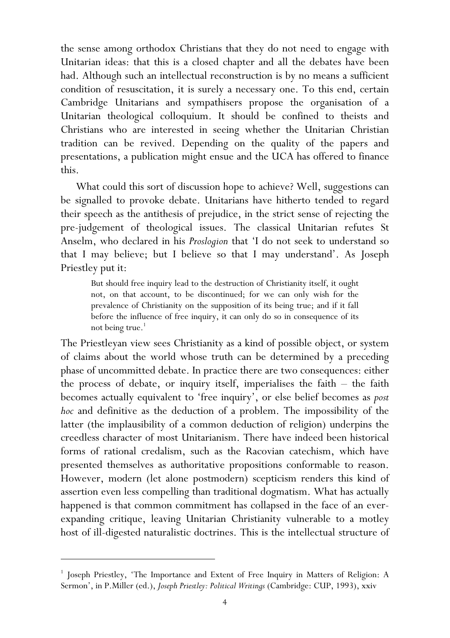the sense among orthodox Christians that they do not need to engage with Unitarian ideas: that this is a closed chapter and all the debates have been had. Although such an intellectual reconstruction is by no means a sufficient condition of resuscitation, it is surely a necessary one. To this end, certain Cambridge Unitarians and sympathisers propose the organisation of a Unitarian theological colloquium. It should be confined to theists and Christians who are interested in seeing whether the Unitarian Christian tradition can be revived. Depending on the quality of the papers and presentations, a publication might ensue and the UCA has offered to finance this.

What could this sort of discussion hope to achieve? Well, suggestions can be signalled to provoke debate. Unitarians have hitherto tended to regard their speech as the antithesis of prejudice, in the strict sense of rejecting the pre-judgement of theological issues. The classical Unitarian refutes St Anselm, who declared in his Proslogion that 'I do not seek to understand so that I may believe; but I believe so that I may understand'. As Joseph Priestley put it:

But should free inquiry lead to the destruction of Christianity itself, it ought not, on that account, to be discontinued; for we can only wish for the prevalence of Christianity on the supposition of its being true; and if it fall before the influence of free inquiry, it can only do so in consequence of its not being true.<sup>1</sup>

The Priestleyan view sees Christianity as a kind of possible object, or system of claims about the world whose truth can be determined by a preceding phase of uncommitted debate. In practice there are two consequences: either the process of debate, or inquiry itself, imperialises the faith – the faith becomes actually equivalent to 'free inquiry', or else belief becomes as post hoc and definitive as the deduction of a problem. The impossibility of the latter (the implausibility of a common deduction of religion) underpins the creedless character of most Unitarianism. There have indeed been historical forms of rational credalism, such as the Racovian catechism, which have presented themselves as authoritative propositions conformable to reason. However, modern (let alone postmodern) scepticism renders this kind of assertion even less compelling than traditional dogmatism. What has actually happened is that common commitment has collapsed in the face of an everexpanding critique, leaving Unitarian Christianity vulnerable to a motley host of ill-digested naturalistic doctrines. This is the intellectual structure of

 $\overline{a}$ 

<sup>&</sup>lt;sup>1</sup> Joseph Priestley, 'The Importance and Extent of Free Inquiry in Matters of Religion: A Sermon', in P.Miller (ed.), Joseph Priestley: Political Writings (Cambridge: CUP, 1993), xxiv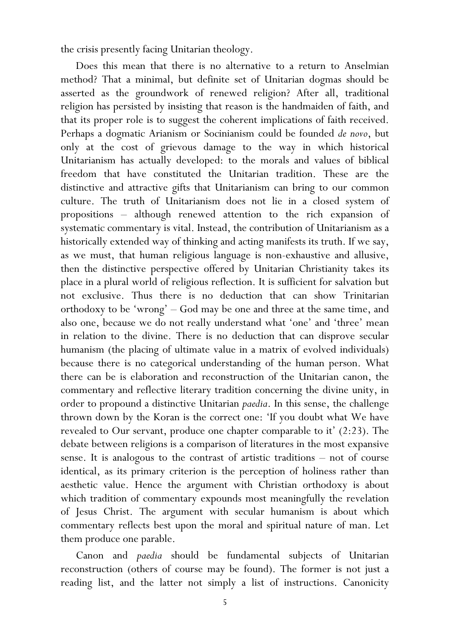the crisis presently facing Unitarian theology.

 Does this mean that there is no alternative to a return to Anselmian method? That a minimal, but definite set of Unitarian dogmas should be asserted as the groundwork of renewed religion? After all, traditional religion has persisted by insisting that reason is the handmaiden of faith, and that its proper role is to suggest the coherent implications of faith received. Perhaps a dogmatic Arianism or Socinianism could be founded de novo, but only at the cost of grievous damage to the way in which historical Unitarianism has actually developed: to the morals and values of biblical freedom that have constituted the Unitarian tradition. These are the distinctive and attractive gifts that Unitarianism can bring to our common culture. The truth of Unitarianism does not lie in a closed system of propositions – although renewed attention to the rich expansion of systematic commentary is vital. Instead, the contribution of Unitarianism as a historically extended way of thinking and acting manifests its truth. If we say, as we must, that human religious language is non-exhaustive and allusive, then the distinctive perspective offered by Unitarian Christianity takes its place in a plural world of religious reflection. It is sufficient for salvation but not exclusive. Thus there is no deduction that can show Trinitarian orthodoxy to be 'wrong' – God may be one and three at the same time, and also one, because we do not really understand what 'one' and 'three' mean in relation to the divine. There is no deduction that can disprove secular humanism (the placing of ultimate value in a matrix of evolved individuals) because there is no categorical understanding of the human person. What there can be is elaboration and reconstruction of the Unitarian canon, the commentary and reflective literary tradition concerning the divine unity, in order to propound a distinctive Unitarian paedia. In this sense, the challenge thrown down by the Koran is the correct one: 'If you doubt what We have revealed to Our servant, produce one chapter comparable to it' (2:23). The debate between religions is a comparison of literatures in the most expansive sense. It is analogous to the contrast of artistic traditions – not of course identical, as its primary criterion is the perception of holiness rather than aesthetic value. Hence the argument with Christian orthodoxy is about which tradition of commentary expounds most meaningfully the revelation of Jesus Christ. The argument with secular humanism is about which commentary reflects best upon the moral and spiritual nature of man. Let them produce one parable.

 Canon and paedia should be fundamental subjects of Unitarian reconstruction (others of course may be found). The former is not just a reading list, and the latter not simply a list of instructions. Canonicity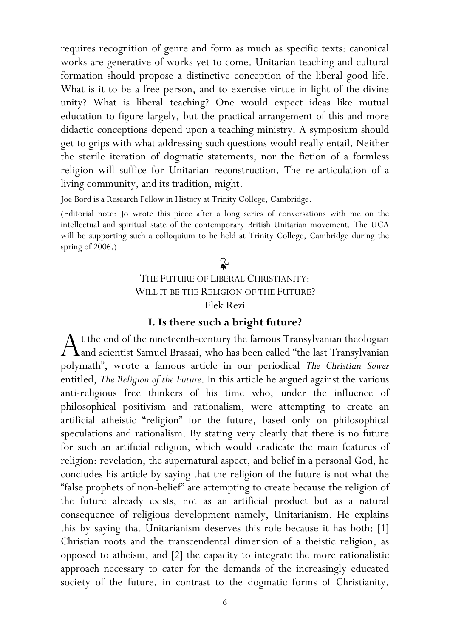requires recognition of genre and form as much as specific texts: canonical works are generative of works yet to come. Unitarian teaching and cultural formation should propose a distinctive conception of the liberal good life. What is it to be a free person, and to exercise virtue in light of the divine unity? What is liberal teaching? One would expect ideas like mutual education to figure largely, but the practical arrangement of this and more didactic conceptions depend upon a teaching ministry. A symposium should get to grips with what addressing such questions would really entail. Neither the sterile iteration of dogmatic statements, nor the fiction of a formless religion will suffice for Unitarian reconstruction. The re-articulation of a living community, and its tradition, might.

Joe Bord is a Research Fellow in History at Trinity College, Cambridge.

(Editorial note: Jo wrote this piece after a long series of conversations with me on the intellectual and spiritual state of the contemporary British Unitarian movement. The UCA will be supporting such a colloquium to be held at Trinity College, Cambridge during the spring of 2006.)

# $\mathbf{r}$

#### THE FUTURE OF LIBERAL CHRISTIANITY: WILL IT BE THE RELIGION OF THE FUTURE? Elek Rezi

#### I. Is there such a bright future?

t the end of the nineteenth-century the famous Transylvanian theologian  $A$ t the end of the nineteenth-century the famous Transylvanian theologian and scientist Samuel Brassai, who has been called "the last Transylvanian polymath", wrote a famous article in our periodical The Christian Sower entitled, The Religion of the Future. In this article he argued against the various anti-religious free thinkers of his time who, under the influence of philosophical positivism and rationalism, were attempting to create an artificial atheistic "religion" for the future, based only on philosophical speculations and rationalism. By stating very clearly that there is no future for such an artificial religion, which would eradicate the main features of religion: revelation, the supernatural aspect, and belief in a personal God, he concludes his article by saying that the religion of the future is not what the "false prophets of non-belief" are attempting to create because the religion of the future already exists, not as an artificial product but as a natural consequence of religious development namely, Unitarianism. He explains this by saying that Unitarianism deserves this role because it has both: [1] Christian roots and the transcendental dimension of a theistic religion, as opposed to atheism, and [2] the capacity to integrate the more rationalistic approach necessary to cater for the demands of the increasingly educated society of the future, in contrast to the dogmatic forms of Christianity.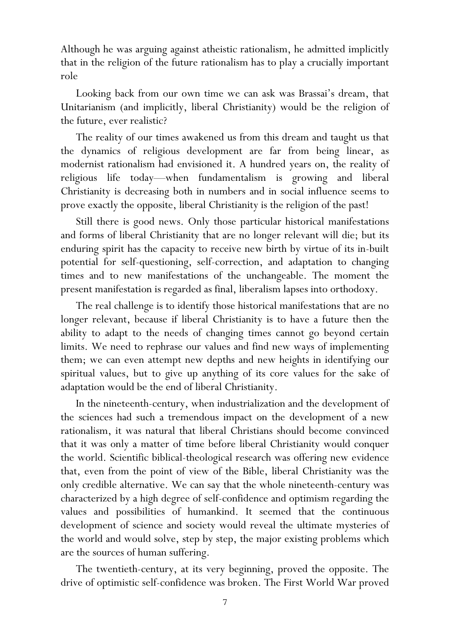Although he was arguing against atheistic rationalism, he admitted implicitly that in the religion of the future rationalism has to play a crucially important role

Looking back from our own time we can ask was Brassai's dream, that Unitarianism (and implicitly, liberal Christianity) would be the religion of the future, ever realistic?

The reality of our times awakened us from this dream and taught us that the dynamics of religious development are far from being linear, as modernist rationalism had envisioned it. A hundred years on, the reality of religious life today—when fundamentalism is growing and liberal Christianity is decreasing both in numbers and in social influence seems to prove exactly the opposite, liberal Christianity is the religion of the past!

Still there is good news. Only those particular historical manifestations and forms of liberal Christianity that are no longer relevant will die; but its enduring spirit has the capacity to receive new birth by virtue of its in-built potential for self-questioning, self-correction, and adaptation to changing times and to new manifestations of the unchangeable. The moment the present manifestation is regarded as final, liberalism lapses into orthodoxy.

The real challenge is to identify those historical manifestations that are no longer relevant, because if liberal Christianity is to have a future then the ability to adapt to the needs of changing times cannot go beyond certain limits. We need to rephrase our values and find new ways of implementing them; we can even attempt new depths and new heights in identifying our spiritual values, but to give up anything of its core values for the sake of adaptation would be the end of liberal Christianity.

In the nineteenth-century, when industrialization and the development of the sciences had such a tremendous impact on the development of a new rationalism, it was natural that liberal Christians should become convinced that it was only a matter of time before liberal Christianity would conquer the world. Scientific biblical-theological research was offering new evidence that, even from the point of view of the Bible, liberal Christianity was the only credible alternative. We can say that the whole nineteenth-century was characterized by a high degree of self-confidence and optimism regarding the values and possibilities of humankind. It seemed that the continuous development of science and society would reveal the ultimate mysteries of the world and would solve, step by step, the major existing problems which are the sources of human suffering.

The twentieth-century, at its very beginning, proved the opposite. The drive of optimistic self-confidence was broken. The First World War proved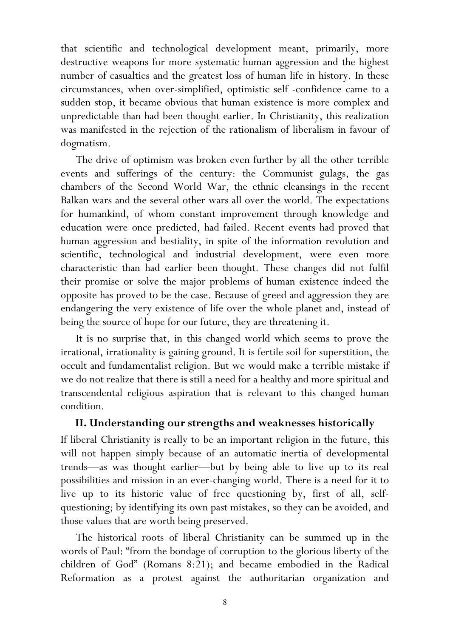that scientific and technological development meant, primarily, more destructive weapons for more systematic human aggression and the highest number of casualties and the greatest loss of human life in history. In these circumstances, when over-simplified, optimistic self -confidence came to a sudden stop, it became obvious that human existence is more complex and unpredictable than had been thought earlier. In Christianity, this realization was manifested in the rejection of the rationalism of liberalism in favour of dogmatism.

The drive of optimism was broken even further by all the other terrible events and sufferings of the century: the Communist gulags, the gas chambers of the Second World War, the ethnic cleansings in the recent Balkan wars and the several other wars all over the world. The expectations for humankind, of whom constant improvement through knowledge and education were once predicted, had failed. Recent events had proved that human aggression and bestiality, in spite of the information revolution and scientific, technological and industrial development, were even more characteristic than had earlier been thought. These changes did not fulfil their promise or solve the major problems of human existence indeed the opposite has proved to be the case. Because of greed and aggression they are endangering the very existence of life over the whole planet and, instead of being the source of hope for our future, they are threatening it.

It is no surprise that, in this changed world which seems to prove the irrational, irrationality is gaining ground. It is fertile soil for superstition, the occult and fundamentalist religion. But we would make a terrible mistake if we do not realize that there is still a need for a healthy and more spiritual and transcendental religious aspiration that is relevant to this changed human condition.

#### II. Understanding our strengths and weaknesses historically

If liberal Christianity is really to be an important religion in the future, this will not happen simply because of an automatic inertia of developmental trends—as was thought earlier—but by being able to live up to its real possibilities and mission in an ever-changing world. There is a need for it to live up to its historic value of free questioning by, first of all, selfquestioning; by identifying its own past mistakes, so they can be avoided, and those values that are worth being preserved.

The historical roots of liberal Christianity can be summed up in the words of Paul: "from the bondage of corruption to the glorious liberty of the children of God" (Romans 8:21); and became embodied in the Radical Reformation as a protest against the authoritarian organization and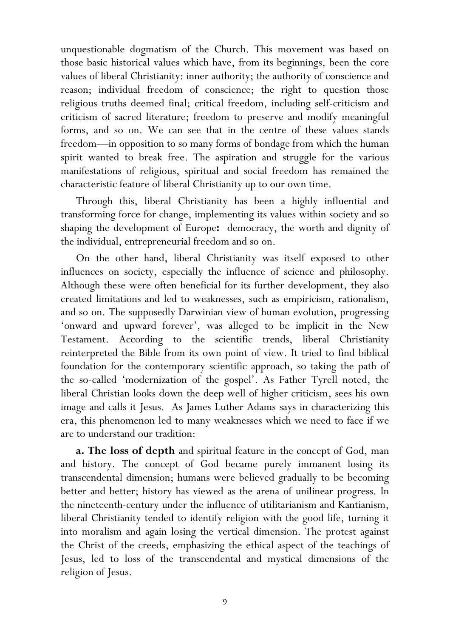unquestionable dogmatism of the Church. This movement was based on those basic historical values which have, from its beginnings, been the core values of liberal Christianity: inner authority; the authority of conscience and reason; individual freedom of conscience; the right to question those religious truths deemed final; critical freedom, including self-criticism and criticism of sacred literature; freedom to preserve and modify meaningful forms, and so on. We can see that in the centre of these values stands freedom—in opposition to so many forms of bondage from which the human spirit wanted to break free. The aspiration and struggle for the various manifestations of religious, spiritual and social freedom has remained the characteristic feature of liberal Christianity up to our own time.

Through this, liberal Christianity has been a highly influential and transforming force for change, implementing its values within society and so shaping the development of Europe: democracy, the worth and dignity of the individual, entrepreneurial freedom and so on.

On the other hand, liberal Christianity was itself exposed to other influences on society, especially the influence of science and philosophy. Although these were often beneficial for its further development, they also created limitations and led to weaknesses, such as empiricism, rationalism, and so on. The supposedly Darwinian view of human evolution, progressing 'onward and upward forever', was alleged to be implicit in the New Testament. According to the scientific trends, liberal Christianity reinterpreted the Bible from its own point of view. It tried to find biblical foundation for the contemporary scientific approach, so taking the path of the so-called 'modernization of the gospel'. As Father Tyrell noted, the liberal Christian looks down the deep well of higher criticism, sees his own image and calls it Jesus. As James Luther Adams says in characterizing this era, this phenomenon led to many weaknesses which we need to face if we are to understand our tradition:

**a. The loss of depth** and spiritual feature in the concept of God, man and history. The concept of God became purely immanent losing its transcendental dimension; humans were believed gradually to be becoming better and better; history has viewed as the arena of unilinear progress. In the nineteenth-century under the influence of utilitarianism and Kantianism, liberal Christianity tended to identify religion with the good life, turning it into moralism and again losing the vertical dimension. The protest against the Christ of the creeds, emphasizing the ethical aspect of the teachings of Jesus, led to loss of the transcendental and mystical dimensions of the religion of Jesus.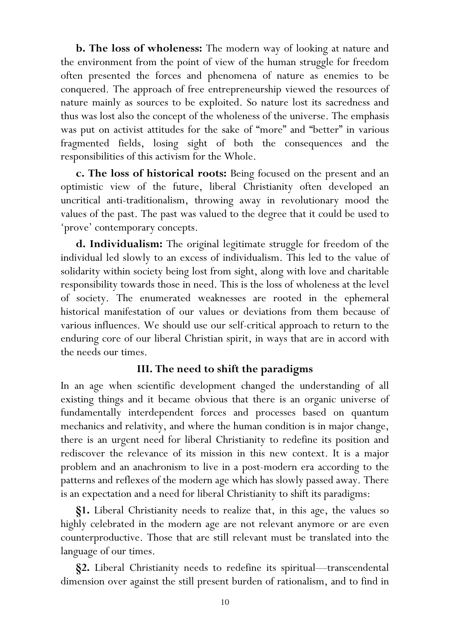b. The loss of wholeness: The modern way of looking at nature and the environment from the point of view of the human struggle for freedom often presented the forces and phenomena of nature as enemies to be conquered. The approach of free entrepreneurship viewed the resources of nature mainly as sources to be exploited. So nature lost its sacredness and thus was lost also the concept of the wholeness of the universe. The emphasis was put on activist attitudes for the sake of "more" and "better" in various fragmented fields, losing sight of both the consequences and the responsibilities of this activism for the Whole.

c. The loss of historical roots: Being focused on the present and an optimistic view of the future, liberal Christianity often developed an uncritical anti-traditionalism, throwing away in revolutionary mood the values of the past. The past was valued to the degree that it could be used to 'prove' contemporary concepts.

d. Individualism: The original legitimate struggle for freedom of the individual led slowly to an excess of individualism. This led to the value of solidarity within society being lost from sight, along with love and charitable responsibility towards those in need. This is the loss of wholeness at the level of society. The enumerated weaknesses are rooted in the ephemeral historical manifestation of our values or deviations from them because of various influences. We should use our self-critical approach to return to the enduring core of our liberal Christian spirit, in ways that are in accord with the needs our times.

## III. The need to shift the paradigms

In an age when scientific development changed the understanding of all existing things and it became obvious that there is an organic universe of fundamentally interdependent forces and processes based on quantum mechanics and relativity, and where the human condition is in major change, there is an urgent need for liberal Christianity to redefine its position and rediscover the relevance of its mission in this new context. It is a major problem and an anachronism to live in a post-modern era according to the patterns and reflexes of the modern age which has slowly passed away. There is an expectation and a need for liberal Christianity to shift its paradigms:

§1. Liberal Christianity needs to realize that, in this age, the values so highly celebrated in the modern age are not relevant anymore or are even counterproductive. Those that are still relevant must be translated into the language of our times.

§2. Liberal Christianity needs to redefine its spiritual—transcendental dimension over against the still present burden of rationalism, and to find in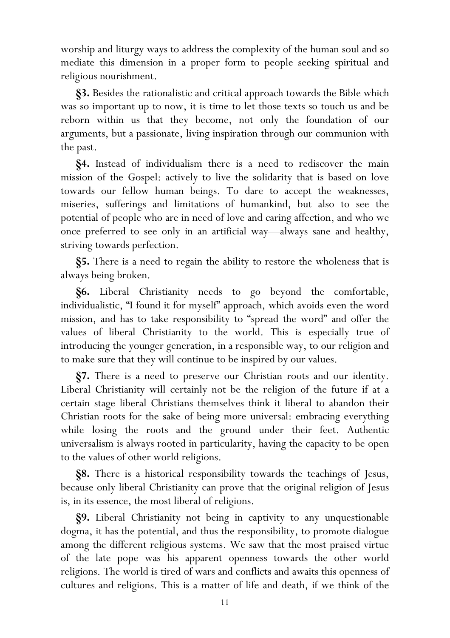worship and liturgy ways to address the complexity of the human soul and so mediate this dimension in a proper form to people seeking spiritual and religious nourishment.

§3. Besides the rationalistic and critical approach towards the Bible which was so important up to now, it is time to let those texts so touch us and be reborn within us that they become, not only the foundation of our arguments, but a passionate, living inspiration through our communion with the past.

§4. Instead of individualism there is a need to rediscover the main mission of the Gospel: actively to live the solidarity that is based on love towards our fellow human beings. To dare to accept the weaknesses, miseries, sufferings and limitations of humankind, but also to see the potential of people who are in need of love and caring affection, and who we once preferred to see only in an artificial way—always sane and healthy, striving towards perfection.

§5. There is a need to regain the ability to restore the wholeness that is always being broken.

§6. Liberal Christianity needs to go beyond the comfortable, individualistic, "I found it for myself" approach, which avoids even the word mission, and has to take responsibility to "spread the word" and offer the values of liberal Christianity to the world. This is especially true of introducing the younger generation, in a responsible way, to our religion and to make sure that they will continue to be inspired by our values.

§7. There is a need to preserve our Christian roots and our identity. Liberal Christianity will certainly not be the religion of the future if at a certain stage liberal Christians themselves think it liberal to abandon their Christian roots for the sake of being more universal: embracing everything while losing the roots and the ground under their feet. Authentic universalism is always rooted in particularity, having the capacity to be open to the values of other world religions.

§8. There is a historical responsibility towards the teachings of Jesus, because only liberal Christianity can prove that the original religion of Jesus is, in its essence, the most liberal of religions.

§9. Liberal Christianity not being in captivity to any unquestionable dogma, it has the potential, and thus the responsibility, to promote dialogue among the different religious systems. We saw that the most praised virtue of the late pope was his apparent openness towards the other world religions. The world is tired of wars and conflicts and awaits this openness of cultures and religions. This is a matter of life and death, if we think of the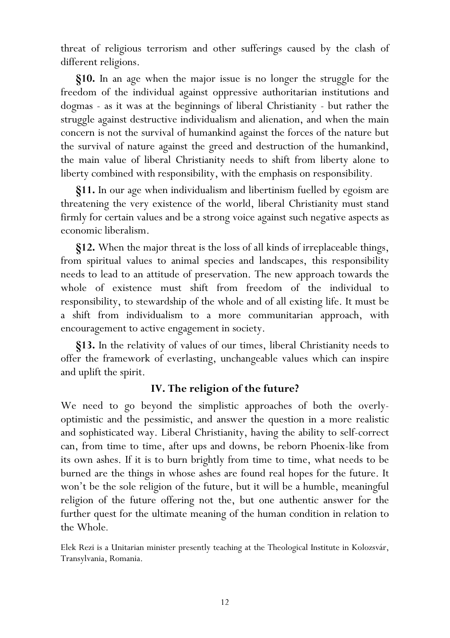threat of religious terrorism and other sufferings caused by the clash of different religions.

 §10. In an age when the major issue is no longer the struggle for the freedom of the individual against oppressive authoritarian institutions and dogmas - as it was at the beginnings of liberal Christianity - but rather the struggle against destructive individualism and alienation, and when the main concern is not the survival of humankind against the forces of the nature but the survival of nature against the greed and destruction of the humankind, the main value of liberal Christianity needs to shift from liberty alone to liberty combined with responsibility, with the emphasis on responsibility.

 §11. In our age when individualism and libertinism fuelled by egoism are threatening the very existence of the world, liberal Christianity must stand firmly for certain values and be a strong voice against such negative aspects as economic liberalism.

§12. When the major threat is the loss of all kinds of irreplaceable things, from spiritual values to animal species and landscapes, this responsibility needs to lead to an attitude of preservation. The new approach towards the whole of existence must shift from freedom of the individual to responsibility, to stewardship of the whole and of all existing life. It must be a shift from individualism to a more communitarian approach, with encouragement to active engagement in society.

§13. In the relativity of values of our times, liberal Christianity needs to offer the framework of everlasting, unchangeable values which can inspire and uplift the spirit.

# IV. The religion of the future?

We need to go beyond the simplistic approaches of both the overlyoptimistic and the pessimistic, and answer the question in a more realistic and sophisticated way. Liberal Christianity, having the ability to self-correct can, from time to time, after ups and downs, be reborn Phoenix-like from its own ashes. If it is to burn brightly from time to time, what needs to be burned are the things in whose ashes are found real hopes for the future. It won't be the sole religion of the future, but it will be a humble, meaningful religion of the future offering not the, but one authentic answer for the further quest for the ultimate meaning of the human condition in relation to the Whole.

Elek Rezi is a Unitarian minister presently teaching at the Theological Institute in Kolozsvár, Transylvania, Romania.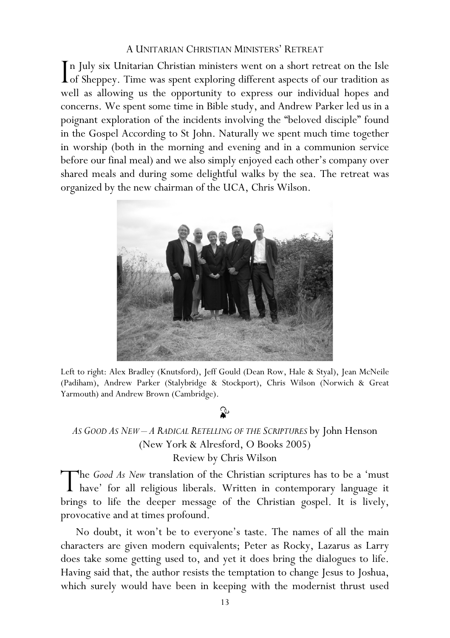#### A UNITARIAN CHRISTIAN MINISTERS' RETREAT

n July six Unitarian Christian ministers went on a short retreat on the Isle In July six Unitarian Christian ministers went on a short retreat on the Isle<br>
I of Sheppey. Time was spent exploring different aspects of our tradition as well as allowing us the opportunity to express our individual hopes and concerns. We spent some time in Bible study, and Andrew Parker led us in a poignant exploration of the incidents involving the "beloved disciple" found in the Gospel According to St John. Naturally we spent much time together in worship (both in the morning and evening and in a communion service before our final meal) and we also simply enjoyed each other's company over shared meals and during some delightful walks by the sea. The retreat was organized by the new chairman of the UCA, Chris Wilson.



Left to right: Alex Bradley (Knutsford), Jeff Gould (Dean Row, Hale & Styal), Jean McNeile (Padiham), Andrew Parker (Stalybridge & Stockport), Chris Wilson (Norwich & Great Yarmouth) and Andrew Brown (Cambridge).

# $\mathbf{r}$

# AS GOOD AS NEW - A RADICAL RETELLING OF THE SCRIPTURES by John Henson (New York & Alresford, O Books 2005) Review by Chris Wilson

he Good As New translation of the Christian scriptures has to be a 'must The Good As New translation of the Christian scriptures has to be a 'must<br>have' for all religious liberals. Written in contemporary language it brings to life the deeper message of the Christian gospel. It is lively, provocative and at times profound.

No doubt, it won't be to everyone's taste. The names of all the main characters are given modern equivalents; Peter as Rocky, Lazarus as Larry does take some getting used to, and yet it does bring the dialogues to life. Having said that, the author resists the temptation to change Jesus to Joshua, which surely would have been in keeping with the modernist thrust used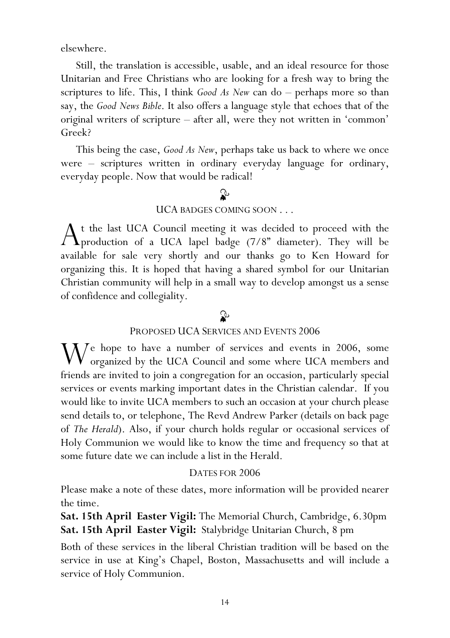elsewhere.

Still, the translation is accessible, usable, and an ideal resource for those Unitarian and Free Christians who are looking for a fresh way to bring the scriptures to life. This, I think  $Good As New can do – perhaps more so than$ say, the Good News Bible. It also offers a language style that echoes that of the original writers of scripture – after all, were they not written in 'common' Greek?

This being the case, Good As New, perhaps take us back to where we once were – scriptures written in ordinary everyday language for ordinary, everyday people. Now that would be radical!

# ♧

#### UCA BADGES COMING SOON . . .

t the last UCA Council meeting it was decided to proceed with the  $A$ <sup>t the last UCA Council meeting it was decided to proceed with the production of a UCA lapel badge (7/8" diameter). They will be</sup> available for sale very shortly and our thanks go to Ken Howard for organizing this. It is hoped that having a shared symbol for our Unitarian Christian community will help in a small way to develop amongst us a sense of confidence and collegiality.

# $\mathbf{r}$

## PROPOSED UCA SERVICES AND EVENTS 2006

 $\mathbf{W}$  e hope to have a number of services and events in 2006, some organized by the UCA Council and some where UCA members and  $\sqrt{\frac{1}{2}}$  organized by the UCA Council and some where UCA members and friends are invited to join a congregation for an occasion, particularly special services or events marking important dates in the Christian calendar. If you would like to invite UCA members to such an occasion at your church please send details to, or telephone, The Revd Andrew Parker (details on back page of The Herald). Also, if your church holds regular or occasional services of Holy Communion we would like to know the time and frequency so that at some future date we can include a list in the Herald.

#### DATES FOR 2006

Please make a note of these dates, more information will be provided nearer the time.

Sat. 15th April Easter Vigil: The Memorial Church, Cambridge, 6.30pm Sat. 15th April Easter Vigil: Stalybridge Unitarian Church, 8 pm

Both of these services in the liberal Christian tradition will be based on the service in use at King's Chapel, Boston, Massachusetts and will include a service of Holy Communion.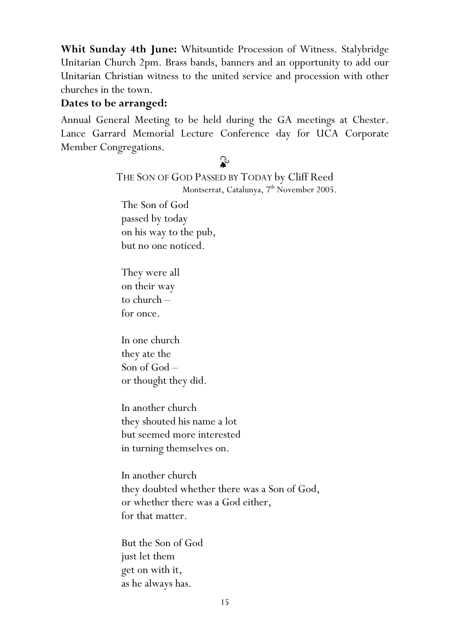Whit Sunday 4th June: Whitsuntide Procession of Witness. Stalybridge Unitarian Church 2pm. Brass bands, banners and an opportunity to add our Unitarian Christian witness to the united service and procession with other churches in the town.

## Dates to be arranged:

Annual General Meeting to be held during the GA meetings at Chester. Lance Garrard Memorial Lecture Conference day for UCA Corporate Member Congregations.

# ♧

## THE SON OF GOD PASSED BY TODAY by Cliff Reed Montserrat, Catalunya, 7<sup>th</sup> November 2005.

The Son of God passed by today on his way to the pub, but no one noticed.

They were all on their way to church – for once.

In one church they ate the Son of God – or thought they did.

In another church they shouted his name a lot but seemed more interested in turning themselves on.

In another church they doubted whether there was a Son of God, or whether there was a God either, for that matter.

But the Son of God just let them get on with it, as he always has.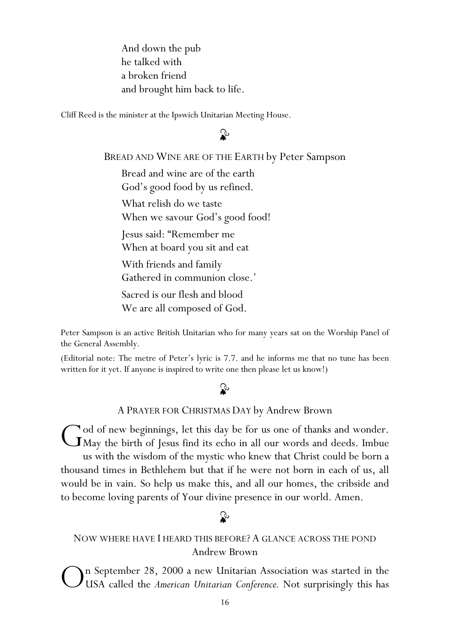And down the pub he talked with a broken friend and brought him back to life.

Cliff Reed is the minister at the Ipswich Unitarian Meeting House.

# ♧

#### BREAD AND WINE ARE OF THE EARTH by Peter Sampson

Bread and wine are of the earth God's good food by us refined. What relish do we taste When we savour God's good food! Jesus said: "Remember me When at board you sit and eat With friends and family Gathered in communion close.' Sacred is our flesh and blood We are all composed of God.

Peter Sampson is an active British Unitarian who for many years sat on the Worship Panel of the General Assembly.

(Editorial note: The metre of Peter's lyric is 7.7. and he informs me that no tune has been written for it yet. If anyone is inspired to write one then please let us know!)

## ♧

#### A PRAYER FOR CHRISTMAS DAY by Andrew Brown

od of new beginnings, let this day be for us one of thanks and wonder. God of new beginnings, let this day be for us one of thanks and wonder.<br>GMay the birth of Jesus find its echo in all our words and deeds. Imbue us with the wisdom of the mystic who knew that Christ could be born a thousand times in Bethlehem but that if he were not born in each of us, all would be in vain. So help us make this, and all our homes, the cribside and to become loving parents of Your divine presence in our world. Amen.

# ⇘

# NOW WHERE HAVE I HEARD THIS BEFORE? A GLANCE ACROSS THE POND Andrew Brown

n September 28, 2000 a new Unitarian Association was started in the USA called the American Unitarian Conference. Not surprisingly this has O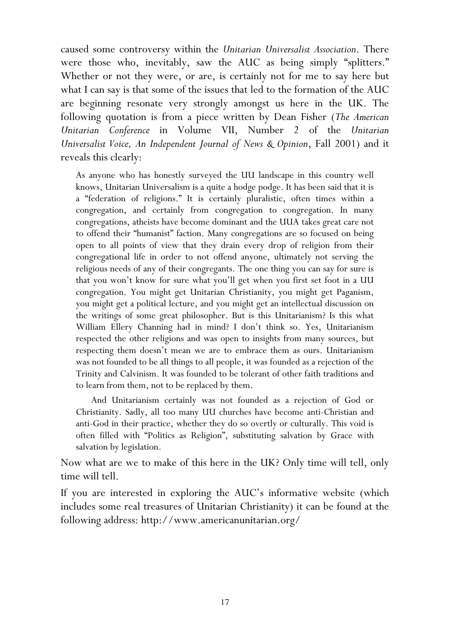caused some controversy within the Unitarian Universalist Association. There were those who, inevitably, saw the AUC as being simply "splitters." Whether or not they were, or are, is certainly not for me to say here but what I can say is that some of the issues that led to the formation of the AUC are beginning resonate very strongly amongst us here in the UK. The following quotation is from a piece written by Dean Fisher (The American Unitarian Conference in Volume VII, Number 2 of the Unitarian Universalist Voice, An Independent Journal of News & Opinion, Fall 2001) and it reveals this clearly:

As anyone who has honestly surveyed the UU landscape in this country well knows, Unitarian Universalism is a quite a hodge podge. It has been said that it is a "federation of religions." It is certainly pluralistic, often times within a congregation, and certainly from congregation to congregation. In many congregations, atheists have become dominant and the UUA takes great care not to offend their "humanist" faction. Many congregations are so focused on being open to all points of view that they drain every drop of religion from their congregational life in order to not offend anyone, ultimately not serving the religious needs of any of their congregants. The one thing you can say for sure is that you won't know for sure what you'll get when you first set foot in a UU congregation. You might get Unitarian Christianity, you might get Paganism, you might get a political lecture, and you might get an intellectual discussion on the writings of some great philosopher. But is this Unitarianism? Is this what William Ellery Channing had in mind? I don't think so. Yes, Unitarianism respected the other religions and was open to insights from many sources, but respecting them doesn't mean we are to embrace them as ours. Unitarianism was not founded to be all things to all people, it was founded as a rejection of the Trinity and Calvinism. It was founded to be tolerant of other faith traditions and to learn from them, not to be replaced by them.

And Unitarianism certainly was not founded as a rejection of God or Christianity. Sadly, all too many UU churches have become anti-Christian and anti-God in their practice, whether they do so overtly or culturally. This void is often filled with "Politics as Religion", substituting salvation by Grace with salvation by legislation.

Now what are we to make of this here in the UK? Only time will tell, only time will tell.

If you are interested in exploring the AUC's informative website (which includes some real treasures of Unitarian Christianity) it can be found at the following address: http://www.americanunitarian.org/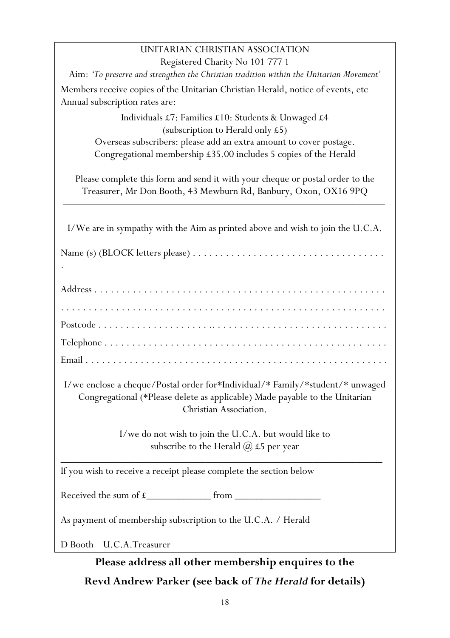# UNITARIAN CHRISTIAN ASSOCIATION

| Registered Charity No 101 777 1                                                                                                                                                        |
|----------------------------------------------------------------------------------------------------------------------------------------------------------------------------------------|
| Aim: 'To preserve and strengthen the Christian tradition within the Unitarian Movement'                                                                                                |
| Members receive copies of the Unitarian Christian Herald, notice of events, etc<br>Annual subscription rates are:                                                                      |
| Individuals £7: Families £10: Students & Unwaged £4<br>(subscription to Herald only £5)                                                                                                |
| Overseas subscribers: please add an extra amount to cover postage.<br>Congregational membership £35.00 includes 5 copies of the Herald                                                 |
| Please complete this form and send it with your cheque or postal order to the<br>Treasurer, Mr Don Booth, 43 Mewburn Rd, Banbury, Oxon, OX16 9PQ                                       |
| I/We are in sympathy with the Aim as printed above and wish to join the U.C.A.                                                                                                         |
|                                                                                                                                                                                        |
|                                                                                                                                                                                        |
|                                                                                                                                                                                        |
|                                                                                                                                                                                        |
|                                                                                                                                                                                        |
|                                                                                                                                                                                        |
| I/we enclose a cheque/Postal order for*Individual/* Family/*student/* unwaged<br>Congregational (*Please delete as applicable) Made payable to the Unitarian<br>Christian Association. |
| I/we do not wish to join the U.C.A. but would like to<br>subscribe to the Herald $(a)$ £5 per year                                                                                     |
| If you wish to receive a receipt please complete the section below                                                                                                                     |
|                                                                                                                                                                                        |
| As payment of membership subscription to the U.C.A. / Herald                                                                                                                           |
| D Booth U.C.A.Treasurer                                                                                                                                                                |

Please address all other membership enquires to the Revd Andrew Parker (see back of The Herald for details)